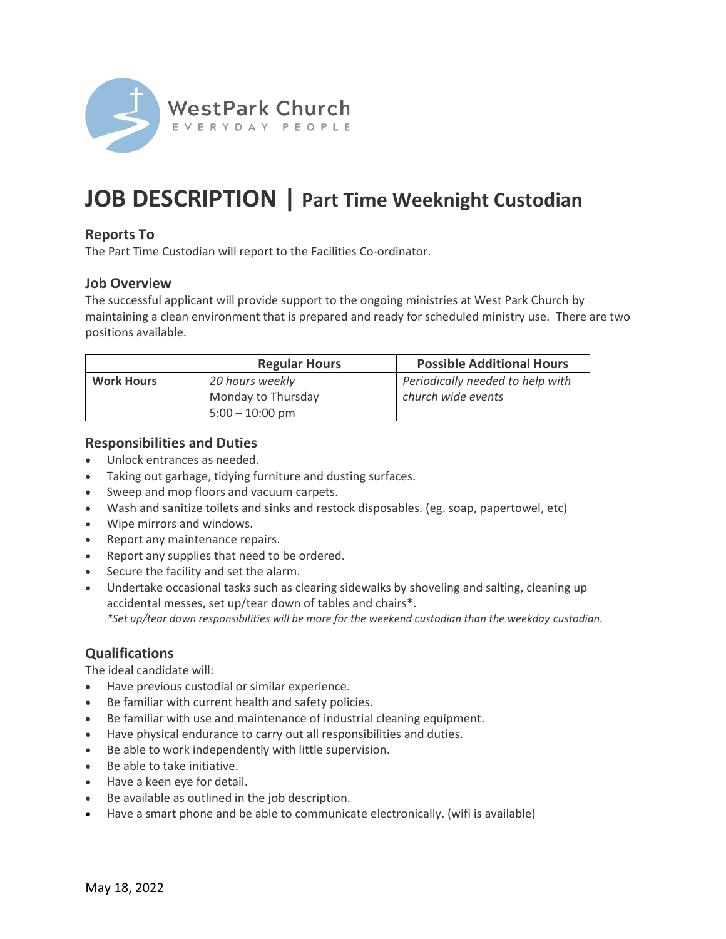

# **JOB DESCRIPTION | Part Time Weeknight Custodian**

# **Reports To**

The Part Time Custodian will report to the Facilities Co-ordinator.

## **Job Overview**

The successful applicant will provide support to the ongoing ministries at West Park Church by maintaining a clean environment that is prepared and ready for scheduled ministry use. There are two positions available.

|                   | <b>Regular Hours</b> | <b>Possible Additional Hours</b> |
|-------------------|----------------------|----------------------------------|
| <b>Work Hours</b> | 20 hours weekly      | Periodically needed to help with |
|                   | Monday to Thursday   | church wide events               |
|                   | $5:00 - 10:00$ pm    |                                  |

#### **Responsibilities and Duties**

- Unlock entrances as needed.
- Taking out garbage, tidying furniture and dusting surfaces.
- Sweep and mop floors and vacuum carpets.
- Wash and sanitize toilets and sinks and restock disposables. (eg. soap, papertowel, etc)
- Wipe mirrors and windows.
- Report any maintenance repairs.
- Report any supplies that need to be ordered.
- Secure the facility and set the alarm.
- Undertake occasional tasks such as clearing sidewalks by shoveling and salting, cleaning up accidental messes, set up/tear down of tables and chairs\*. *\*Set up/tear down responsibilities will be more for the weekend custodian than the weekday custodian.*

# **Qualifications**

The ideal candidate will:

- Have previous custodial or similar experience.
- Be familiar with current health and safety policies.
- Be familiar with use and maintenance of industrial cleaning equipment.
- Have physical endurance to carry out all responsibilities and duties.
- Be able to work independently with little supervision.
- Be able to take initiative.
- Have a keen eye for detail.
- Be available as outlined in the job description.
- Have a smart phone and be able to communicate electronically. (wifi is available)